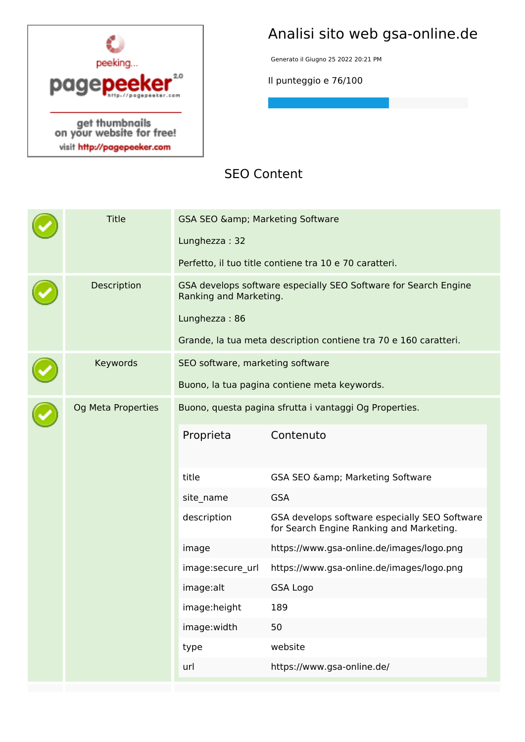

# **Analisi sito web gsa-online.de**

Generato il Giugno 25 2022 20:21 PM

**Il punteggio e 76/100**

## **SEO Content**

| Description<br>GSA develops software especially SEO Software for Search Engine<br>Ranking and Marketing.<br>Lunghezza: 86<br>Grande, la tua meta description contiene tra 70 e 160 caratteri.<br>Keywords<br>SEO software, marketing software<br>Buono, la tua pagina contiene meta keywords.<br>Og Meta Properties<br>Buono, questa pagina sfrutta i vantaggi Og Properties.<br>Contenuto<br>Proprieta<br>title<br>GSA SEO & amp; Marketing Software<br><b>GSA</b><br>site_name<br>GSA develops software especially SEO Software<br>description<br>for Search Engine Ranking and Marketing.<br>https://www.gsa-online.de/images/logo.png<br>image<br>https://www.gsa-online.de/images/logo.png<br>image:secure url<br>image:alt<br><b>GSA Logo</b><br>image:height<br>189<br>50<br>image:width<br>website<br>type<br>https://www.gsa-online.de/<br>url |  | <b>Title</b> | GSA SEO & amp; Marketing Software<br>Lunghezza: 32 | Perfetto, il tuo title contiene tra 10 e 70 caratteri. |  |  |
|---------------------------------------------------------------------------------------------------------------------------------------------------------------------------------------------------------------------------------------------------------------------------------------------------------------------------------------------------------------------------------------------------------------------------------------------------------------------------------------------------------------------------------------------------------------------------------------------------------------------------------------------------------------------------------------------------------------------------------------------------------------------------------------------------------------------------------------------------------|--|--------------|----------------------------------------------------|--------------------------------------------------------|--|--|
|                                                                                                                                                                                                                                                                                                                                                                                                                                                                                                                                                                                                                                                                                                                                                                                                                                                         |  |              |                                                    |                                                        |  |  |
|                                                                                                                                                                                                                                                                                                                                                                                                                                                                                                                                                                                                                                                                                                                                                                                                                                                         |  |              |                                                    |                                                        |  |  |
|                                                                                                                                                                                                                                                                                                                                                                                                                                                                                                                                                                                                                                                                                                                                                                                                                                                         |  |              |                                                    |                                                        |  |  |
|                                                                                                                                                                                                                                                                                                                                                                                                                                                                                                                                                                                                                                                                                                                                                                                                                                                         |  |              |                                                    |                                                        |  |  |
|                                                                                                                                                                                                                                                                                                                                                                                                                                                                                                                                                                                                                                                                                                                                                                                                                                                         |  |              |                                                    |                                                        |  |  |
|                                                                                                                                                                                                                                                                                                                                                                                                                                                                                                                                                                                                                                                                                                                                                                                                                                                         |  |              |                                                    |                                                        |  |  |
|                                                                                                                                                                                                                                                                                                                                                                                                                                                                                                                                                                                                                                                                                                                                                                                                                                                         |  |              |                                                    |                                                        |  |  |
|                                                                                                                                                                                                                                                                                                                                                                                                                                                                                                                                                                                                                                                                                                                                                                                                                                                         |  |              |                                                    |                                                        |  |  |
|                                                                                                                                                                                                                                                                                                                                                                                                                                                                                                                                                                                                                                                                                                                                                                                                                                                         |  |              |                                                    |                                                        |  |  |
|                                                                                                                                                                                                                                                                                                                                                                                                                                                                                                                                                                                                                                                                                                                                                                                                                                                         |  |              |                                                    |                                                        |  |  |
|                                                                                                                                                                                                                                                                                                                                                                                                                                                                                                                                                                                                                                                                                                                                                                                                                                                         |  |              |                                                    |                                                        |  |  |
|                                                                                                                                                                                                                                                                                                                                                                                                                                                                                                                                                                                                                                                                                                                                                                                                                                                         |  |              |                                                    |                                                        |  |  |
|                                                                                                                                                                                                                                                                                                                                                                                                                                                                                                                                                                                                                                                                                                                                                                                                                                                         |  |              |                                                    |                                                        |  |  |
|                                                                                                                                                                                                                                                                                                                                                                                                                                                                                                                                                                                                                                                                                                                                                                                                                                                         |  |              |                                                    |                                                        |  |  |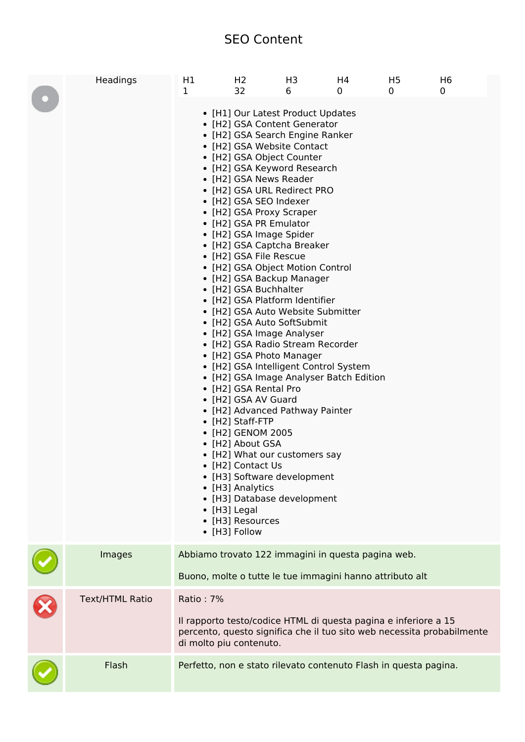## **SEO Content**

| Headings               | H1<br>1   | H <sub>2</sub><br>32                                                                                                                                                                                                                                                                                                                                                                            | H3<br>6                                                                                                                                                                                                                                                                                                                                                                                                                                                                                                                                                                                                                                                                                                                                              | H4<br>0 | H <sub>5</sub><br>$\Omega$ | H <sub>6</sub><br>0                                                    |
|------------------------|-----------|-------------------------------------------------------------------------------------------------------------------------------------------------------------------------------------------------------------------------------------------------------------------------------------------------------------------------------------------------------------------------------------------------|------------------------------------------------------------------------------------------------------------------------------------------------------------------------------------------------------------------------------------------------------------------------------------------------------------------------------------------------------------------------------------------------------------------------------------------------------------------------------------------------------------------------------------------------------------------------------------------------------------------------------------------------------------------------------------------------------------------------------------------------------|---------|----------------------------|------------------------------------------------------------------------|
|                        |           | • [H2] GSA News Reader<br>• [H2] GSA SEO Indexer<br>• [H2] GSA Proxy Scraper<br>• [H2] GSA PR Emulator<br>• [H2] GSA Image Spider<br>• [H2] GSA File Rescue<br>• [H2] GSA Buchhalter<br>• [H2] GSA Rental Pro<br>• [H2] GSA AV Guard<br>• [H2] Staff-FTP<br>• [H2] GENOM 2005<br>• [H2] About GSA<br>• [H2] Contact Us<br>• [H3] Analytics<br>• [H3] Legal<br>• [H3] Resources<br>• [H3] Follow | • [H1] Our Latest Product Updates<br>• [H2] GSA Content Generator<br>• [H2] GSA Search Engine Ranker<br>• [H2] GSA Website Contact<br>• [H2] GSA Object Counter<br>• [H2] GSA Keyword Research<br>• [H2] GSA URL Redirect PRO<br>• [H2] GSA Captcha Breaker<br>• [H2] GSA Object Motion Control<br>• [H2] GSA Backup Manager<br>• [H2] GSA Platform Identifier<br>• [H2] GSA Auto Website Submitter<br>• [H2] GSA Auto SoftSubmit<br>• [H2] GSA Image Analyser<br>• [H2] GSA Radio Stream Recorder<br>• [H2] GSA Photo Manager<br>• [H2] GSA Intelligent Control System<br>• [H2] GSA Image Analyser Batch Edition<br>• [H2] Advanced Pathway Painter<br>• [H2] What our customers say<br>• [H3] Software development<br>• [H3] Database development |         |                            |                                                                        |
| Images                 |           |                                                                                                                                                                                                                                                                                                                                                                                                 | Abbiamo trovato 122 immagini in questa pagina web.<br>Buono, molte o tutte le tue immagini hanno attributo alt                                                                                                                                                                                                                                                                                                                                                                                                                                                                                                                                                                                                                                       |         |                            |                                                                        |
| <b>Text/HTML Ratio</b> | Ratio: 7% |                                                                                                                                                                                                                                                                                                                                                                                                 |                                                                                                                                                                                                                                                                                                                                                                                                                                                                                                                                                                                                                                                                                                                                                      |         |                            |                                                                        |
|                        |           | di molto piu contenuto.                                                                                                                                                                                                                                                                                                                                                                         | Il rapporto testo/codice HTML di questa pagina e inferiore a 15                                                                                                                                                                                                                                                                                                                                                                                                                                                                                                                                                                                                                                                                                      |         |                            | percento, questo significa che il tuo sito web necessita probabilmente |
| Flash                  |           |                                                                                                                                                                                                                                                                                                                                                                                                 | Perfetto, non e stato rilevato contenuto Flash in questa pagina.                                                                                                                                                                                                                                                                                                                                                                                                                                                                                                                                                                                                                                                                                     |         |                            |                                                                        |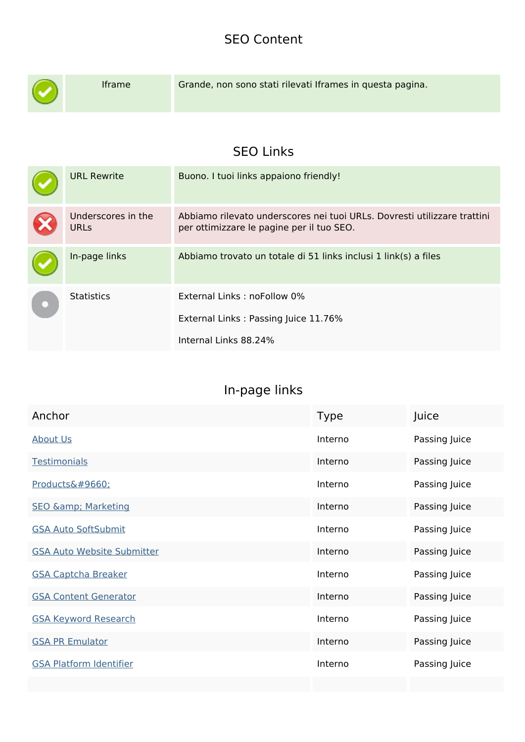## **SEO Content**

| <b>Iframe</b>                     | Grande, non sono stati rilevati Iframes in questa pagina.                                                             |
|-----------------------------------|-----------------------------------------------------------------------------------------------------------------------|
|                                   | <b>SEO Links</b>                                                                                                      |
|                                   |                                                                                                                       |
| <b>URL Rewrite</b>                | Buono. I tuoi links appaiono friendly!                                                                                |
| Underscores in the<br><b>URLs</b> | Abbiamo rilevato underscores nei tuoi URLs. Dovresti utilizzare trattini<br>per ottimizzare le pagine per il tuo SEO. |
| In-page links                     | Abbiamo trovato un totale di 51 links inclusi 1 link(s) a files                                                       |
| <b>Statistics</b>                 | External Links: noFollow 0%                                                                                           |
|                                   |                                                                                                                       |
|                                   | External Links: Passing Juice 11.76%                                                                                  |
|                                   | Internal Links 88.24%                                                                                                 |
|                                   |                                                                                                                       |

# **In-page links**

| Anchor                            | <b>Type</b> | Juice         |
|-----------------------------------|-------------|---------------|
| <b>About Us</b>                   | Interno     | Passing Juice |
| <b>Testimonials</b>               | Interno     | Passing Juice |
| Products▼                         | Interno     | Passing Juice |
| <b>SEO &amp;: Marketing</b>       | Interno     | Passing Juice |
| <b>GSA Auto SoftSubmit</b>        | Interno     | Passing Juice |
| <b>GSA Auto Website Submitter</b> | Interno     | Passing Juice |
| <b>GSA Captcha Breaker</b>        | Interno     | Passing Juice |
| <b>GSA Content Generator</b>      | Interno     | Passing Juice |
| <b>GSA Keyword Research</b>       | Interno     | Passing Juice |
| <b>GSA PR Emulator</b>            | Interno     | Passing Juice |
| <b>GSA Platform Identifier</b>    | Interno     | Passing Juice |
|                                   |             |               |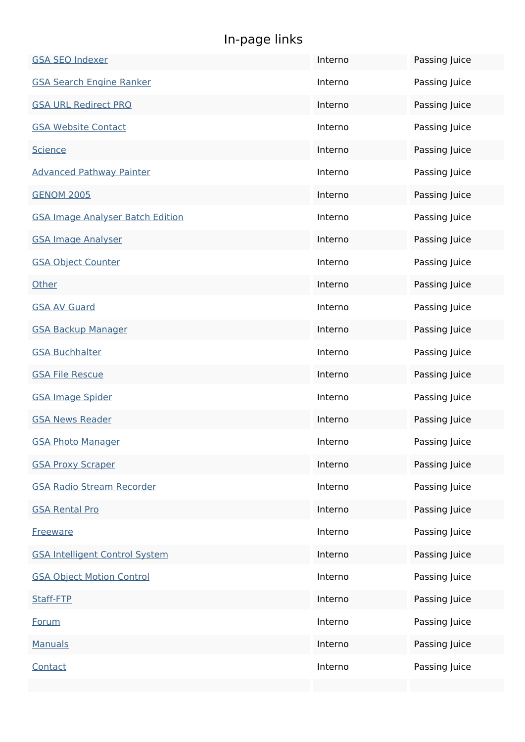# **In-page links**

| <b>GSA SEO Indexer</b>                  | Interno | Passing Juice |
|-----------------------------------------|---------|---------------|
| <b>GSA Search Engine Ranker</b>         | Interno | Passing Juice |
| <b>GSA URL Redirect PRO</b>             | Interno | Passing Juice |
| <b>GSA Website Contact</b>              | Interno | Passing Juice |
| <b>Science</b>                          | Interno | Passing Juice |
| <b>Advanced Pathway Painter</b>         | Interno | Passing Juice |
| <b>GENOM 2005</b>                       | Interno | Passing Juice |
| <b>GSA Image Analyser Batch Edition</b> | Interno | Passing Juice |
| <b>GSA Image Analyser</b>               | Interno | Passing Juice |
| <b>GSA Object Counter</b>               | Interno | Passing Juice |
| Other                                   | Interno | Passing Juice |
| <b>GSA AV Guard</b>                     | Interno | Passing Juice |
| <b>GSA Backup Manager</b>               | Interno | Passing Juice |
| <b>GSA Buchhalter</b>                   | Interno | Passing Juice |
| <b>GSA File Rescue</b>                  | Interno | Passing Juice |
| <b>GSA Image Spider</b>                 | Interno | Passing Juice |
| <b>GSA News Reader</b>                  | Interno | Passing Juice |
| <b>GSA Photo Manager</b>                | Interno | Passing Juice |
| <b>GSA Proxy Scraper</b>                | Interno | Passing Juice |
| <b>GSA Radio Stream Recorder</b>        | Interno | Passing Juice |
| <b>GSA Rental Pro</b>                   | Interno | Passing Juice |
| <b>Freeware</b>                         | Interno | Passing Juice |
| <b>GSA Intelligent Control System</b>   | Interno | Passing Juice |
| <b>GSA Object Motion Control</b>        | Interno | Passing Juice |
| Staff-FTP                               | Interno | Passing Juice |
| Forum                                   | Interno | Passing Juice |
| <b>Manuals</b>                          | Interno | Passing Juice |
| Contact                                 | Interno | Passing Juice |
|                                         |         |               |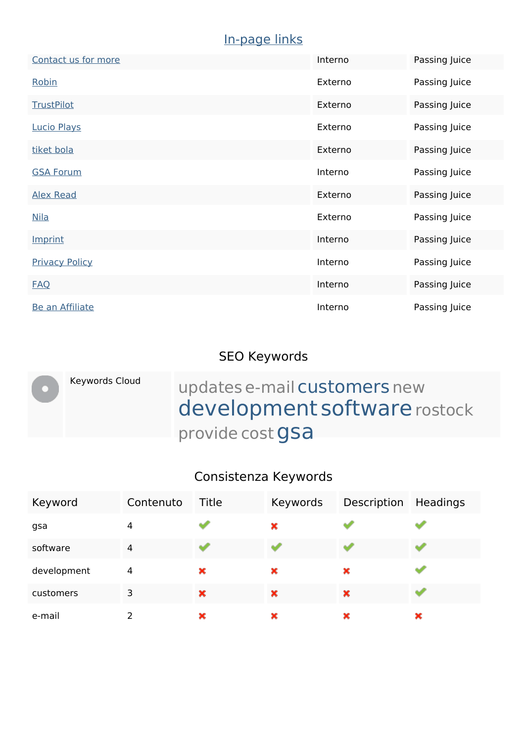#### **In-page links**

| Contact us for more    | Interno | Passing Juice |
|------------------------|---------|---------------|
| Robin                  | Externo | Passing Juice |
| <b>TrustPilot</b>      | Externo | Passing Juice |
| <b>Lucio Plays</b>     | Externo | Passing Juice |
| tiket bola             | Externo | Passing Juice |
| <b>GSA Forum</b>       | Interno | Passing Juice |
| <b>Alex Read</b>       | Externo | Passing Juice |
| <b>Nila</b>            | Externo | Passing Juice |
| Imprint                | Interno | Passing Juice |
| <b>Privacy Policy</b>  | Interno | Passing Juice |
| <b>FAQ</b>             | Interno | Passing Juice |
| <b>Be an Affiliate</b> | Interno | Passing Juice |

## **SEO Keywords**

Keywords Cloud updates e-mail customers new

development software rostock provide cost **gsa** 

#### **Consistenza Keywords**

| Keyword     | Contenuto      | Title | Keywords | Description | Headings |
|-------------|----------------|-------|----------|-------------|----------|
| gsa         | 4              |       | ×        |             |          |
| software    | $\overline{4}$ | ar a  |          |             |          |
| development | 4              | ×     | ×        | ×           |          |
| customers   | 3              | ×     | ×        | ×           |          |
| e-mail      | っ              | ×     | ×        | ×           | ×        |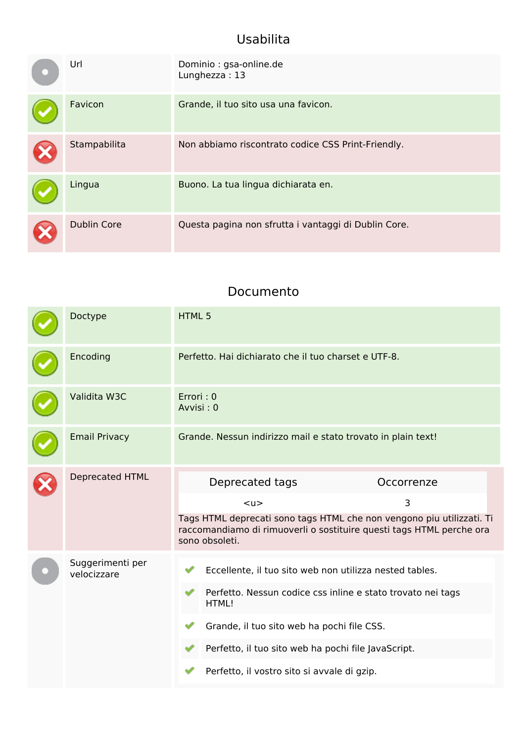## **Usabilita**

| Url                | Dominio: gsa-online.de<br>Lunghezza: 13              |
|--------------------|------------------------------------------------------|
| Favicon            | Grande, il tuo sito usa una favicon.                 |
| Stampabilita       | Non abbiamo riscontrato codice CSS Print-Friendly.   |
| Lingua             | Buono. La tua lingua dichiarata en.                  |
| <b>Dublin Core</b> | Questa pagina non sfrutta i vantaggi di Dublin Core. |

#### **Documento**

| Doctype                         | <b>HTML5</b>                                                                                                                                                                                                                                                                        |
|---------------------------------|-------------------------------------------------------------------------------------------------------------------------------------------------------------------------------------------------------------------------------------------------------------------------------------|
| Encoding                        | Perfetto. Hai dichiarato che il tuo charset e UTF-8.                                                                                                                                                                                                                                |
| Validita W3C                    | Errori: 0<br>Avvisi: 0                                                                                                                                                                                                                                                              |
| <b>Email Privacy</b>            | Grande. Nessun indirizzo mail e stato trovato in plain text!                                                                                                                                                                                                                        |
| Deprecated HTML                 | Deprecated tags<br>Occorrenze<br>3<br>$u$<br>Tags HTML deprecati sono tags HTML che non vengono piu utilizzati. Ti<br>raccomandiamo di rimuoverli o sostituire questi tags HTML perche ora<br>sono obsoleti.                                                                        |
| Suggerimenti per<br>velocizzare | Eccellente, il tuo sito web non utilizza nested tables.<br>Perfetto. Nessun codice css inline e stato trovato nei tags<br>HTML!<br>Grande, il tuo sito web ha pochi file CSS.<br>Perfetto, il tuo sito web ha pochi file JavaScript.<br>Perfetto, il vostro sito si avvale di gzip. |